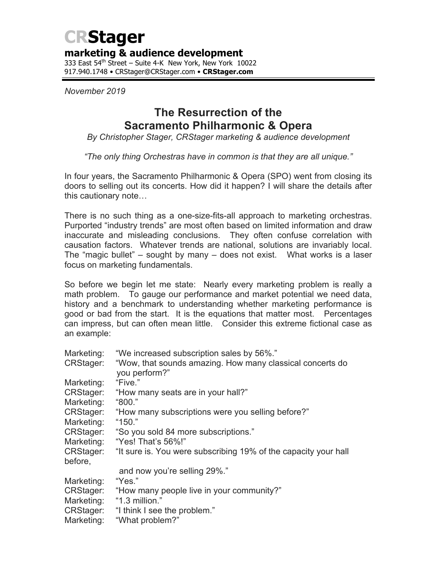# **CRStager**

## **marketing & audience development**

333 East 54<sup>th</sup> Street – Suite 4-K New York, New York 10022 917.940.1748 • CRStager@CRStager.com • **CRStager.com**

*November 2019*

# **The Resurrection of the Sacramento Philharmonic & Opera**

*By Christopher Stager, CRStager marketing & audience development*

*"The only thing Orchestras have in common is that they are all unique."*

In four years, the Sacramento Philharmonic & Opera (SPO) went from closing its doors to selling out its concerts. How did it happen? I will share the details after this cautionary note…

There is no such thing as a one-size-fits-all approach to marketing orchestras. Purported "industry trends" are most often based on limited information and draw inaccurate and misleading conclusions. They often confuse correlation with causation factors. Whatever trends are national, solutions are invariably local. The "magic bullet" – sought by many – does not exist. What works is a laser focus on marketing fundamentals.

So before we begin let me state: Nearly every marketing problem is really a math problem. To gauge our performance and market potential we need data, history and a benchmark to understanding whether marketing performance is good or bad from the start. It is the equations that matter most. Percentages can impress, but can often mean little. Consider this extreme fictional case as an example:

| Marketing: | "We increased subscription sales by 56%."                                  |
|------------|----------------------------------------------------------------------------|
| CRStager:  | "Wow, that sounds amazing. How many classical concerts do<br>you perform?" |
| Marketing: | "Five."                                                                    |
| CRStager:  | "How many seats are in your hall?"                                         |
| Marketing: | "800."                                                                     |
| CRStager:  | "How many subscriptions were you selling before?"                          |
| Marketing: | "150."                                                                     |
| CRStager:  | "So you sold 84 more subscriptions."                                       |
| Marketing: | "Yes! That's 56%!"                                                         |
| CRStager:  | "It sure is. You were subscribing 19% of the capacity your hall            |
| before,    |                                                                            |
|            | and now you're selling 29%."                                               |
| Marketing: | "Yes."                                                                     |
| CRStager:  | "How many people live in your community?"                                  |
| Marketing: | "1.3 million."                                                             |
| CRStager:  | "I think I see the problem."                                               |
| Marketing: | "What problem?"                                                            |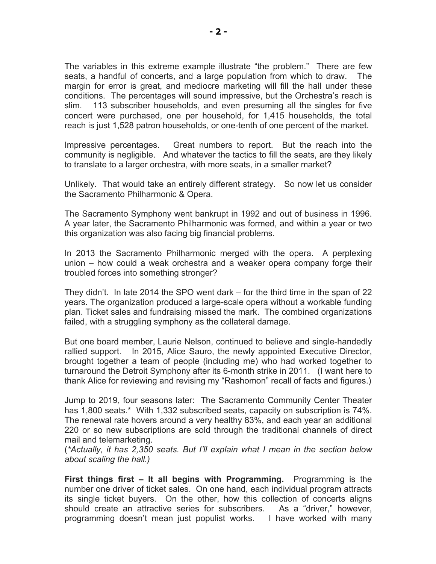The variables in this extreme example illustrate "the problem." There are few seats, a handful of concerts, and a large population from which to draw. The margin for error is great, and mediocre marketing will fill the hall under these conditions. The percentages will sound impressive, but the Orchestra's reach is slim. 113 subscriber households, and even presuming all the singles for five concert were purchased, one per household, for 1,415 households, the total reach is just 1,528 patron households, or one-tenth of one percent of the market.

Impressive percentages. Great numbers to report. But the reach into the community is negligible. And whatever the tactics to fill the seats, are they likely to translate to a larger orchestra, with more seats, in a smaller market?

Unlikely. That would take an entirely different strategy. So now let us consider the Sacramento Philharmonic & Opera.

The Sacramento Symphony went bankrupt in 1992 and out of business in 1996. A year later, the Sacramento Philharmonic was formed, and within a year or two this organization was also facing big financial problems.

In 2013 the Sacramento Philharmonic merged with the opera. A perplexing union – how could a weak orchestra and a weaker opera company forge their troubled forces into something stronger?

They didn't. In late 2014 the SPO went dark – for the third time in the span of 22 years. The organization produced a large-scale opera without a workable funding plan. Ticket sales and fundraising missed the mark. The combined organizations failed, with a struggling symphony as the collateral damage.

But one board member, Laurie Nelson, continued to believe and single-handedly rallied support. In 2015, Alice Sauro, the newly appointed Executive Director, brought together a team of people (including me) who had worked together to turnaround the Detroit Symphony after its 6-month strike in 2011. (I want here to thank Alice for reviewing and revising my "Rashomon" recall of facts and figures.)

Jump to 2019, four seasons later: The Sacramento Community Center Theater has 1,800 seats.\* With 1,332 subscribed seats, capacity on subscription is 74%. The renewal rate hovers around a very healthy 83%, and each year an additional 220 or so new subscriptions are sold through the traditional channels of direct mail and telemarketing.

(*\*Actually, it has 2,350 seats. But I'll explain what I mean in the section below about scaling the hall.)*

**First things first – It all begins with Programming.** Programming is the number one driver of ticket sales. On one hand, each individual program attracts its single ticket buyers. On the other, how this collection of concerts aligns should create an attractive series for subscribers. As a "driver," however, programming doesn't mean just populist works. I have worked with many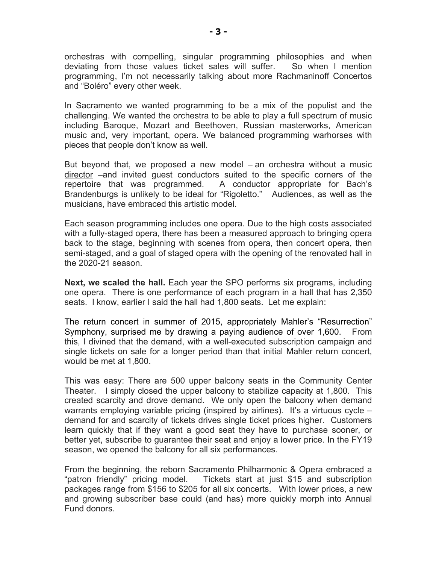orchestras with compelling, singular programming philosophies and when deviating from those values ticket sales will suffer. So when I mention programming, I'm not necessarily talking about more Rachmaninoff Concertos and "Boléro" every other week.

In Sacramento we wanted programming to be a mix of the populist and the challenging. We wanted the orchestra to be able to play a full spectrum of music including Baroque, Mozart and Beethoven, Russian masterworks, American music and, very important, opera. We balanced programming warhorses with pieces that people don't know as well.

But beyond that, we proposed a new model – an orchestra without a music director –and invited guest conductors suited to the specific corners of the repertoire that was programmed. A conductor appropriate for Bach's Brandenburgs is unlikely to be ideal for "Rigoletto." Audiences, as well as the musicians, have embraced this artistic model.

Each season programming includes one opera. Due to the high costs associated with a fully-staged opera, there has been a measured approach to bringing opera back to the stage, beginning with scenes from opera, then concert opera, then semi-staged, and a goal of staged opera with the opening of the renovated hall in the 2020-21 season.

**Next, we scaled the hall.** Each year the SPO performs six programs, including one opera. There is one performance of each program in a hall that has 2,350 seats. I know, earlier I said the hall had 1,800 seats. Let me explain:

The return concert in summer of 2015, appropriately Mahler's "Resurrection" Symphony, surprised me by drawing a paying audience of over 1,600. From this, I divined that the demand, with a well-executed subscription campaign and single tickets on sale for a longer period than that initial Mahler return concert, would be met at 1,800.

This was easy: There are 500 upper balcony seats in the Community Center Theater. I simply closed the upper balcony to stabilize capacity at 1,800. This created scarcity and drove demand. We only open the balcony when demand warrants employing variable pricing (inspired by airlines). It's a virtuous cycle – demand for and scarcity of tickets drives single ticket prices higher. Customers learn quickly that if they want a good seat they have to purchase sooner, or better yet, subscribe to guarantee their seat and enjoy a lower price. In the FY19 season, we opened the balcony for all six performances.

From the beginning, the reborn Sacramento Philharmonic & Opera embraced a "patron friendly" pricing model. Tickets start at just \$15 and subscription packages range from \$156 to \$205 for all six concerts. With lower prices, a new and growing subscriber base could (and has) more quickly morph into Annual Fund donors.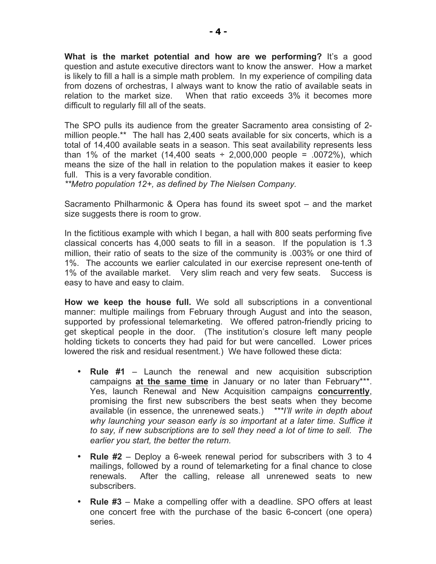**What is the market potential and how are we performing?** It's a good question and astute executive directors want to know the answer. How a market is likely to fill a hall is a simple math problem. In my experience of compiling data from dozens of orchestras, I always want to know the ratio of available seats in relation to the market size. When that ratio exceeds 3% it becomes more difficult to regularly fill all of the seats.

The SPO pulls its audience from the greater Sacramento area consisting of 2 million people.\*\* The hall has 2,400 seats available for six concerts, which is a total of 14,400 available seats in a season. This seat availability represents less than 1% of the market  $(14,400 \text{ seats} \div 2,000,000 \text{ people} = .0072\%)$ , which means the size of the hall in relation to the population makes it easier to keep full. This is a very favorable condition.

*\*\*Metro population 12+, as defined by The Nielsen Company.*

Sacramento Philharmonic & Opera has found its sweet spot – and the market size suggests there is room to grow.

In the fictitious example with which I began, a hall with 800 seats performing five classical concerts has 4,000 seats to fill in a season. If the population is 1.3 million, their ratio of seats to the size of the community is .003% or one third of 1%. The accounts we earlier calculated in our exercise represent one-tenth of 1% of the available market. Very slim reach and very few seats. Success is easy to have and easy to claim.

**How we keep the house full.** We sold all subscriptions in a conventional manner: multiple mailings from February through August and into the season, supported by professional telemarketing. We offered patron-friendly pricing to get skeptical people in the door. (The institution's closure left many people holding tickets to concerts they had paid for but were cancelled. Lower prices lowered the risk and residual resentment.) We have followed these dicta:

- **Rule #1**  Launch the renewal and new acquisition subscription campaigns at the same time in January or no later than February\*\*\*. Yes, launch Renewal and New Acquisition campaigns **concurrently**, promising the first new subscribers the best seats when they become available (in essence, the unrenewed seats.) *\*\*\*I'll write in depth about why launching your season early is so important at a later time. Suffice it to say, if new subscriptions are to sell they need a lot of time to sell. The earlier you start, the better the return.*
- **Rule #2** Deploy a 6-week renewal period for subscribers with 3 to 4 mailings, followed by a round of telemarketing for a final chance to close renewals. After the calling, release all unrenewed seats to new subscribers.
- **Rule #3** Make a compelling offer with a deadline. SPO offers at least one concert free with the purchase of the basic 6-concert (one opera) series.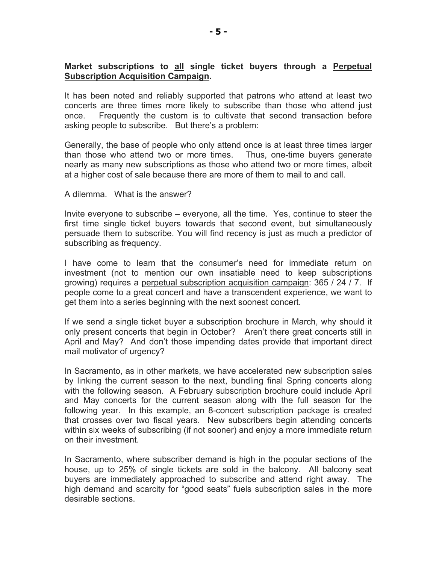#### **Market subscriptions to all single ticket buyers through a Perpetual Subscription Acquisition Campaign.**

It has been noted and reliably supported that patrons who attend at least two concerts are three times more likely to subscribe than those who attend just once. Frequently the custom is to cultivate that second transaction before asking people to subscribe. But there's a problem:

Generally, the base of people who only attend once is at least three times larger than those who attend two or more times. Thus, one-time buyers generate nearly as many new subscriptions as those who attend two or more times, albeit at a higher cost of sale because there are more of them to mail to and call.

A dilemma. What is the answer?

Invite everyone to subscribe – everyone, all the time. Yes, continue to steer the first time single ticket buyers towards that second event, but simultaneously persuade them to subscribe. You will find recency is just as much a predictor of subscribing as frequency.

I have come to learn that the consumer's need for immediate return on investment (not to mention our own insatiable need to keep subscriptions growing) requires a perpetual subscription acquisition campaign: 365 / 24 / 7. If people come to a great concert and have a transcendent experience, we want to get them into a series beginning with the next soonest concert.

If we send a single ticket buyer a subscription brochure in March, why should it only present concerts that begin in October? Aren't there great concerts still in April and May? And don't those impending dates provide that important direct mail motivator of urgency?

In Sacramento, as in other markets, we have accelerated new subscription sales by linking the current season to the next, bundling final Spring concerts along with the following season. A February subscription brochure could include April and May concerts for the current season along with the full season for the following year. In this example, an 8-concert subscription package is created that crosses over two fiscal years. New subscribers begin attending concerts within six weeks of subscribing (if not sooner) and enjoy a more immediate return on their investment.

In Sacramento, where subscriber demand is high in the popular sections of the house, up to 25% of single tickets are sold in the balcony. All balcony seat buyers are immediately approached to subscribe and attend right away. The high demand and scarcity for "good seats" fuels subscription sales in the more desirable sections.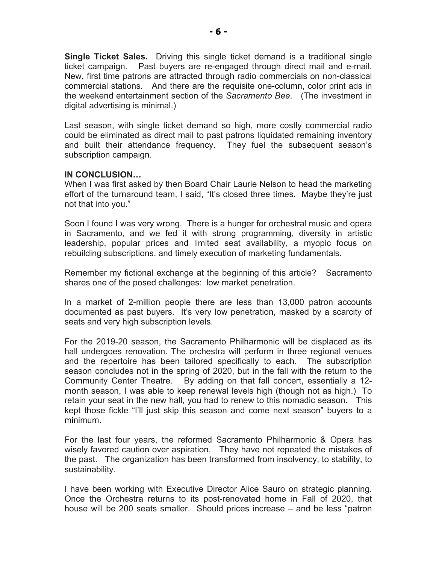**Single Ticket Sales.** Driving this single ticket demand is a traditional single ticket campaign. Past buyers are re-engaged through direct mail and e-mail. New, first time patrons are attracted through radio commercials on non-classical commercial stations. And there are the requisite one-column, color print ads in the weekend entertainment section of the *Sacramento Bee*. (The investment in digital advertising is minimal.)

Last season, with single ticket demand so high, more costly commercial radio could be eliminated as direct mail to past patrons liquidated remaining inventory and built their attendance frequency. They fuel the subsequent season's subscription campaign.

### **IN CONCLUSION…**

When I was first asked by then Board Chair Laurie Nelson to head the marketing effort of the turnaround team, I said, "It's closed three times. Maybe they're just not that into you."

Soon I found I was very wrong. There is a hunger for orchestral music and opera in Sacramento, and we fed it with strong programming, diversity in artistic leadership, popular prices and limited seat availability, a myopic focus on rebuilding subscriptions, and timely execution of marketing fundamentals.

Remember my fictional exchange at the beginning of this article? Sacramento shares one of the posed challenges: low market penetration.

In a market of 2-million people there are less than 13,000 patron accounts documented as past buyers. It's very low penetration, masked by a scarcity of seats and very high subscription levels.

For the 2019-20 season, the Sacramento Philharmonic will be displaced as its hall undergoes renovation. The orchestra will perform in three regional venues and the repertoire has been tailored specifically to each. The subscription season concludes not in the spring of 2020, but in the fall with the return to the Community Center Theatre. By adding on that fall concert, essentially a 12 month season, I was able to keep renewal levels high (though not as high.) To retain your seat in the new hall, you had to renew to this nomadic season. This kept those fickle "I'll just skip this season and come next season" buyers to a minimum.

For the last four years, the reformed Sacramento Philharmonic & Opera has wisely favored caution over aspiration. They have not repeated the mistakes of the past. The organization has been transformed from insolvency, to stability, to sustainability.

I have been working with Executive Director Alice Sauro on strategic planning. Once the Orchestra returns to its post-renovated home in Fall of 2020, that house will be 200 seats smaller. Should prices increase – and be less "patron